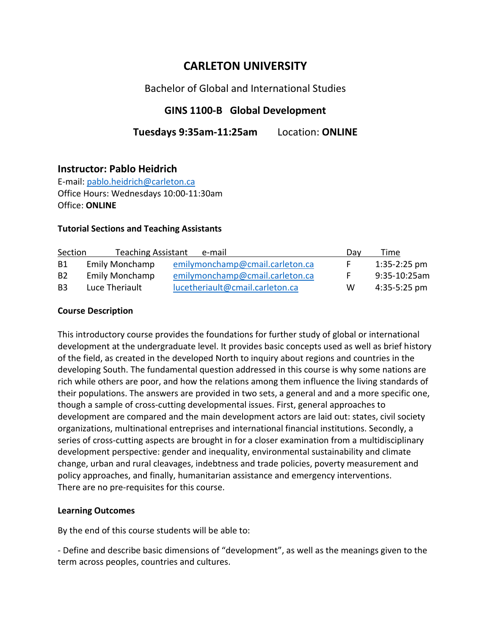# **CARLETON UNIVERSITY**

## Bachelor of Global and International Studies

## **GINS 1100-B Global Development**

## **Tuesdays 9:35am-11:25am** Location: **ONLINE**

### **Instructor: Pablo Heidrich**

E-mail: [pablo.heidrich@carleton.ca](mailto:pablo.heidrich@carleton.ca) Office Hours: Wednesdays 10:00-11:30am Office: **ONLINE**

#### **Tutorial Sections and Teaching Assistants**

| Section        | <b>Teaching Assistant</b> | e-mail                          | Dav | Time           |
|----------------|---------------------------|---------------------------------|-----|----------------|
| B1             | <b>Emily Monchamp</b>     | emilymonchamp@cmail.carleton.ca |     | $1:35-2:25$ pm |
| B <sub>2</sub> | <b>Emily Monchamp</b>     | emilymonchamp@cmail.carleton.ca |     | 9:35-10:25am   |
| B <sub>3</sub> | Luce Theriault            | lucetheriault@cmail.carleton.ca | w   | $4:35-5:25$ pm |

#### **Course Description**

This introductory course provides the foundations for further study of global or international development at the undergraduate level. It provides basic concepts used as well as brief history of the field, as created in the developed North to inquiry about regions and countries in the developing South. The fundamental question addressed in this course is why some nations are rich while others are poor, and how the relations among them influence the living standards of their populations. The answers are provided in two sets, a general and and a more specific one, though a sample of cross-cutting developmental issues. First, general approaches to development are compared and the main development actors are laid out: states, civil society organizations, multinational entreprises and international financial institutions. Secondly, a series of cross-cutting aspects are brought in for a closer examination from a multidisciplinary development perspective: gender and inequality, environmental sustainability and climate change, urban and rural cleavages, indebtness and trade policies, poverty measurement and policy approaches, and finally, humanitarian assistance and emergency interventions. There are no pre-requisites for this course.

#### **Learning Outcomes**

By the end of this course students will be able to:

- Define and describe basic dimensions of "development", as well as the meanings given to the term across peoples, countries and cultures.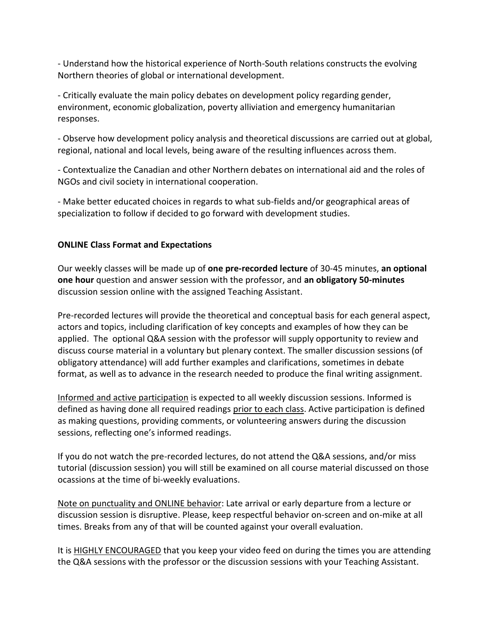- Understand how the historical experience of North-South relations constructs the evolving Northern theories of global or international development.

- Critically evaluate the main policy debates on development policy regarding gender, environment, economic globalization, poverty alliviation and emergency humanitarian responses.

- Observe how development policy analysis and theoretical discussions are carried out at global, regional, national and local levels, being aware of the resulting influences across them.

- Contextualize the Canadian and other Northern debates on international aid and the roles of NGOs and civil society in international cooperation.

- Make better educated choices in regards to what sub-fields and/or geographical areas of specialization to follow if decided to go forward with development studies.

### **ONLINE Class Format and Expectations**

Our weekly classes will be made up of **one pre-recorded lecture** of 30-45 minutes, **an optional one hour** question and answer session with the professor, and **an obligatory 50-minutes** discussion session online with the assigned Teaching Assistant.

Pre-recorded lectures will provide the theoretical and conceptual basis for each general aspect, actors and topics, including clarification of key concepts and examples of how they can be applied. The optional Q&A session with the professor will supply opportunity to review and discuss course material in a voluntary but plenary context. The smaller discussion sessions (of obligatory attendance) will add further examples and clarifications, sometimes in debate format, as well as to advance in the research needed to produce the final writing assignment.

Informed and active participation is expected to all weekly discussion sessions. Informed is defined as having done all required readings prior to each class. Active participation is defined as making questions, providing comments, or volunteering answers during the discussion sessions, reflecting one's informed readings.

If you do not watch the pre-recorded lectures, do not attend the Q&A sessions, and/or miss tutorial (discussion session) you will still be examined on all course material discussed on those ocassions at the time of bi-weekly evaluations.

Note on punctuality and ONLINE behavior: Late arrival or early departure from a lecture or discussion session is disruptive. Please, keep respectful behavior on-screen and on-mike at all times. Breaks from any of that will be counted against your overall evaluation.

It is **HIGHLY ENCOURAGED** that you keep your video feed on during the times you are attending the Q&A sessions with the professor or the discussion sessions with your Teaching Assistant.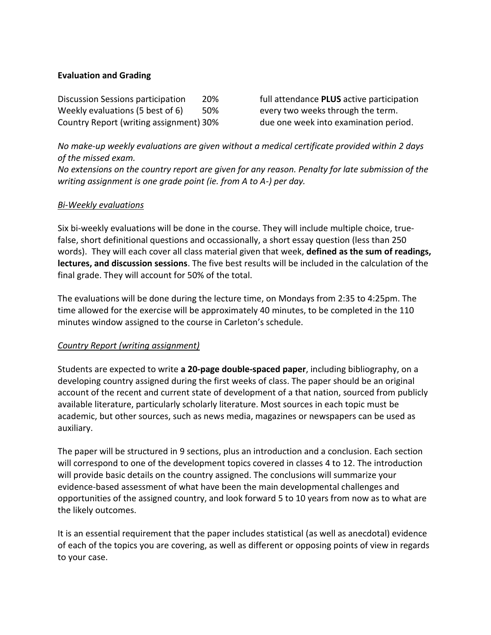#### **Evaluation and Grading**

Discussion Sessions participation 20% full attendance **PLUS** active participation Weekly evaluations (5 best of 6) 50% every two weeks through the term. Country Report (writing assignment) 30% due one week into examination period.

*No make-up weekly evaluations are given without a medical certificate provided within 2 days of the missed exam.* 

*No extensions on the country report are given for any reason. Penalty for late submission of the writing assignment is one grade point (ie. from A to A-) per day.* 

#### *Bi-Weekly evaluations*

Six bi-weekly evaluations will be done in the course. They will include multiple choice, truefalse, short definitional questions and occassionally, a short essay question (less than 250 words). They will each cover all class material given that week, **defined as the sum of readings, lectures, and discussion sessions**. The five best results will be included in the calculation of the final grade. They will account for 50% of the total.

The evaluations will be done during the lecture time, on Mondays from 2:35 to 4:25pm. The time allowed for the exercise will be approximately 40 minutes, to be completed in the 110 minutes window assigned to the course in Carleton's schedule.

### *Country Report (writing assignment)*

Students are expected to write **a 20-page double-spaced paper**, including bibliography, on a developing country assigned during the first weeks of class. The paper should be an original account of the recent and current state of development of a that nation, sourced from publicly available literature, particularly scholarly literature. Most sources in each topic must be academic, but other sources, such as news media, magazines or newspapers can be used as auxiliary.

The paper will be structured in 9 sections, plus an introduction and a conclusion. Each section will correspond to one of the development topics covered in classes 4 to 12. The introduction will provide basic details on the country assigned. The conclusions will summarize your evidence-based assessment of what have been the main developmental challenges and opportunities of the assigned country, and look forward 5 to 10 years from now as to what are the likely outcomes.

It is an essential requirement that the paper includes statistical (as well as anecdotal) evidence of each of the topics you are covering, as well as different or opposing points of view in regards to your case.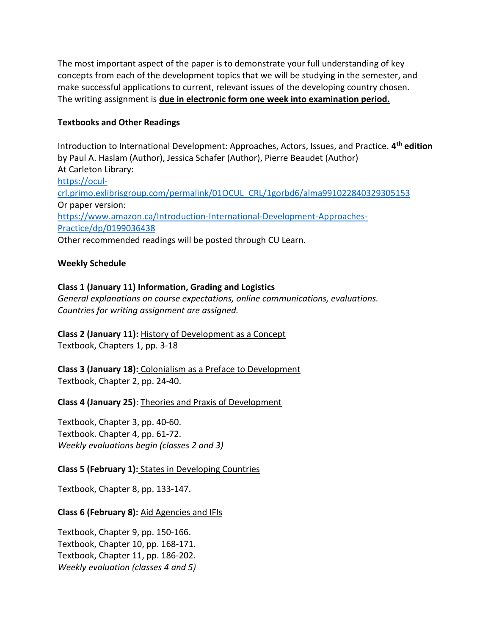The most important aspect of the paper is to demonstrate your full understanding of key concepts from each of the development topics that we will be studying in the semester, and make successful applications to current, relevant issues of the developing country chosen. The writing assignment is **due in electronic form one week into examination period.**

#### **Textbooks and Other Readings**

Introduction to International Development: Approaches, Actors, Issues, and Practice. **4 th edition** by Paul A. Haslam (Author), Jessica Schafer (Author), Pierre Beaudet (Author) At Carleton Library: [https://ocul](https://ocul-crl.primo.exlibrisgroup.com/permalink/01OCUL_CRL/1gorbd6/alma991022840329305153)[crl.primo.exlibrisgroup.com/permalink/01OCUL\\_CRL/1gorbd6/alma991022840329305153](https://ocul-crl.primo.exlibrisgroup.com/permalink/01OCUL_CRL/1gorbd6/alma991022840329305153) Or paper version: [https://www.amazon.ca/Introduction-International-Development-Approaches-](https://www.amazon.ca/Introduction-International-Development-Approaches-Practice/dp/0199036438)[Practice/dp/0199036438](https://www.amazon.ca/Introduction-International-Development-Approaches-Practice/dp/0199036438) Other recommended readings will be posted through CU Learn.

#### **Weekly Schedule**

#### **Class 1 (January 11) Information, Grading and Logistics**

*General explanations on course expectations, online communications, evaluations. Countries for writing assignment are assigned.* 

**Class 2 (January 11):** History of Development as a Concept Textbook, Chapters 1, pp. 3-18

**Class 3 (January 18):** Colonialism as a Preface to Development Textbook, Chapter 2, pp. 24-40.

**Class 4 (January 25)**: Theories and Praxis of Development

Textbook, Chapter 3, pp. 40-60. Textbook. Chapter 4, pp. 61-72. *Weekly evaluations begin (classes 2 and 3)*

#### **Class 5 (February 1):** States in Developing Countries

Textbook, Chapter 8, pp. 133-147.

#### **Class 6 (February 8):** Aid Agencies and IFIs

Textbook, Chapter 9, pp. 150-166. Textbook, Chapter 10, pp. 168-171. Textbook, Chapter 11, pp. 186-202. *Weekly evaluation (classes 4 and 5)*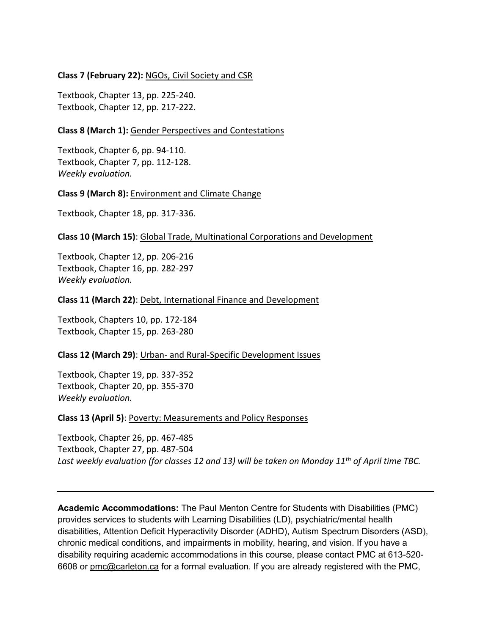#### **Class 7 (February 22):** NGOs, Civil Society and CSR

Textbook, Chapter 13, pp. 225-240. Textbook, Chapter 12, pp. 217-222.

#### **Class 8 (March 1):** Gender Perspectives and Contestations

Textbook, Chapter 6, pp. 94-110. Textbook, Chapter 7, pp. 112-128. *Weekly evaluation.*

#### **Class 9 (March 8):** Environment and Climate Change

Textbook, Chapter 18, pp. 317-336.

#### **Class 10 (March 15)**: Global Trade, Multinational Corporations and Development

Textbook, Chapter 12, pp. 206-216 Textbook, Chapter 16, pp. 282-297 *Weekly evaluation.*

#### **Class 11 (March 22)**: Debt, International Finance and Development

Textbook, Chapters 10, pp. 172-184 Textbook, Chapter 15, pp. 263-280

#### **Class 12 (March 29)**: Urban- and Rural-Specific Development Issues

Textbook, Chapter 19, pp. 337-352 Textbook, Chapter 20, pp. 355-370 *Weekly evaluation.*

#### **Class 13 (April 5)**: Poverty: Measurements and Policy Responses

Textbook, Chapter 26, pp. 467-485 Textbook, Chapter 27, pp. 487-504 *Last weekly evaluation (for classes 12 and 13) will be taken on Monday 11th of April time TBC.*

**Academic Accommodations:** The Paul Menton Centre for Students with Disabilities (PMC) provides services to students with Learning Disabilities (LD), psychiatric/mental health disabilities, Attention Deficit Hyperactivity Disorder (ADHD), Autism Spectrum Disorders (ASD), chronic medical conditions, and impairments in mobility, hearing, and vision. If you have a disability requiring academic accommodations in this course, please contact PMC at 613-520- 6608 or [pmc@carleton.ca](mailto:pmc@carleton.ca) for a formal evaluation. If you are already registered with the PMC,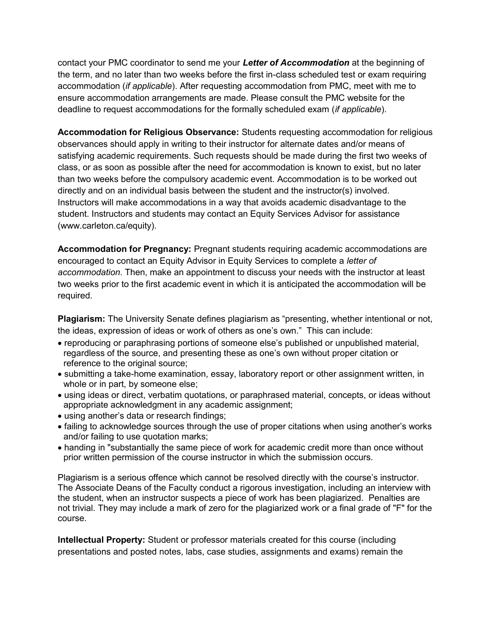contact your PMC coordinator to send me your *Letter of Accommodation* at the beginning of the term, and no later than two weeks before the first in-class scheduled test or exam requiring accommodation (*if applicable*). After requesting accommodation from PMC, meet with me to ensure accommodation arrangements are made. Please consult the PMC website for the deadline to request accommodations for the formally scheduled exam (*if applicable*).

**Accommodation for Religious Observance:** Students requesting accommodation for religious observances should apply in writing to their instructor for alternate dates and/or means of satisfying academic requirements. Such requests should be made during the first two weeks of class, or as soon as possible after the need for accommodation is known to exist, but no later than two weeks before the compulsory academic event. Accommodation is to be worked out directly and on an individual basis between the student and the instructor(s) involved. Instructors will make accommodations in a way that avoids academic disadvantage to the student. Instructors and students may contact an Equity Services Advisor for assistance (www.carleton.ca/equity).

**Accommodation for Pregnancy:** Pregnant students requiring academic accommodations are encouraged to contact an Equity Advisor in Equity Services to complete a *letter of accommodation*. Then, make an appointment to discuss your needs with the instructor at least two weeks prior to the first academic event in which it is anticipated the accommodation will be required.

**Plagiarism:** The University Senate defines plagiarism as "presenting, whether intentional or not, the ideas, expression of ideas or work of others as one's own." This can include:

- reproducing or paraphrasing portions of someone else's published or unpublished material, regardless of the source, and presenting these as one's own without proper citation or reference to the original source;
- submitting a take-home examination, essay, laboratory report or other assignment written, in whole or in part, by someone else;
- using ideas or direct, verbatim quotations, or paraphrased material, concepts, or ideas without appropriate acknowledgment in any academic assignment;
- using another's data or research findings;
- failing to acknowledge sources through the use of proper citations when using another's works and/or failing to use quotation marks;
- handing in "substantially the same piece of work for academic credit more than once without prior written permission of the course instructor in which the submission occurs.

Plagiarism is a serious offence which cannot be resolved directly with the course's instructor. The Associate Deans of the Faculty conduct a rigorous investigation, including an interview with the student, when an instructor suspects a piece of work has been plagiarized. Penalties are not trivial. They may include a mark of zero for the plagiarized work or a final grade of "F" for the course.

**Intellectual Property:** Student or professor materials created for this course (including presentations and posted notes, labs, case studies, assignments and exams) remain the